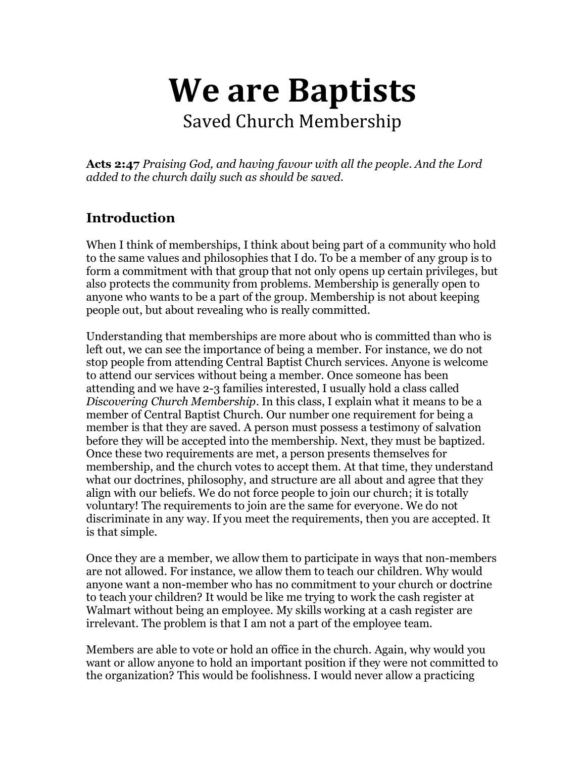# **We are Baptists**

Saved Church Membership

**Acts 2:47** *Praising God, and having favour with all the people. And the Lord added to the church daily such as should be saved.*

## **Introduction**

When I think of memberships, I think about being part of a community who hold to the same values and philosophies that I do. To be a member of any group is to form a commitment with that group that not only opens up certain privileges, but also protects the community from problems. Membership is generally open to anyone who wants to be a part of the group. Membership is not about keeping people out, but about revealing who is really committed.

Understanding that memberships are more about who is committed than who is left out, we can see the importance of being a member. For instance, we do not stop people from attending Central Baptist Church services. Anyone is welcome to attend our services without being a member. Once someone has been attending and we have 2-3 families interested, I usually hold a class called *Discovering Church Membership*. In this class, I explain what it means to be a member of Central Baptist Church. Our number one requirement for being a member is that they are saved. A person must possess a testimony of salvation before they will be accepted into the membership. Next, they must be baptized. Once these two requirements are met, a person presents themselves for membership, and the church votes to accept them. At that time, they understand what our doctrines, philosophy, and structure are all about and agree that they align with our beliefs. We do not force people to join our church; it is totally voluntary! The requirements to join are the same for everyone. We do not discriminate in any way. If you meet the requirements, then you are accepted. It is that simple.

Once they are a member, we allow them to participate in ways that non-members are not allowed. For instance, we allow them to teach our children. Why would anyone want a non-member who has no commitment to your church or doctrine to teach your children? It would be like me trying to work the cash register at Walmart without being an employee. My skills working at a cash register are irrelevant. The problem is that I am not a part of the employee team.

Members are able to vote or hold an office in the church. Again, why would you want or allow anyone to hold an important position if they were not committed to the organization? This would be foolishness. I would never allow a practicing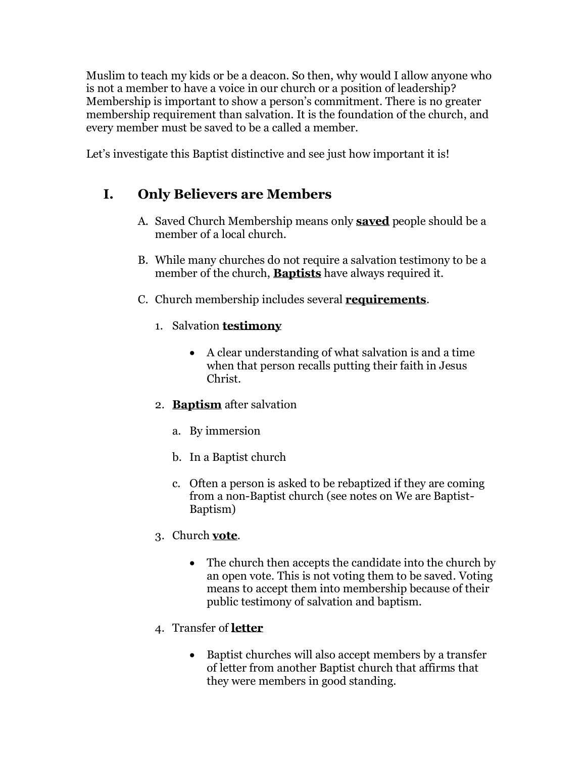Muslim to teach my kids or be a deacon. So then, why would I allow anyone who is not a member to have a voice in our church or a position of leadership? Membership is important to show a person's commitment. There is no greater membership requirement than salvation. It is the foundation of the church, and every member must be saved to be a called a member.

Let's investigate this Baptist distinctive and see just how important it is!

## **I. Only Believers are Members**

- A. Saved Church Membership means only **saved** people should be a member of a local church.
- B. While many churches do not require a salvation testimony to be a member of the church, **Baptists** have always required it.
- C. Church membership includes several **requirements**.
	- 1. Salvation **testimony**
		- A clear understanding of what salvation is and a time when that person recalls putting their faith in Jesus Christ.
	- 2. **Baptism** after salvation
		- a. By immersion
		- b. In a Baptist church
		- c. Often a person is asked to be rebaptized if they are coming from a non-Baptist church (see notes on We are Baptist-Baptism)
	- 3. Church **vote**.
		- The church then accepts the candidate into the church by an open vote. This is not voting them to be saved. Voting means to accept them into membership because of their public testimony of salvation and baptism.
	- 4. Transfer of **letter**
		- Baptist churches will also accept members by a transfer of letter from another Baptist church that affirms that they were members in good standing.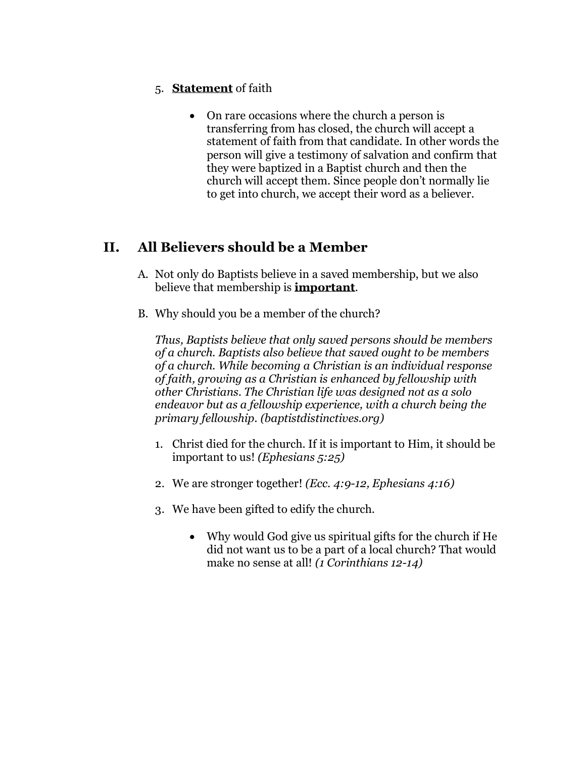#### 5. **Statement** of faith

• On rare occasions where the church a person is transferring from has closed, the church will accept a statement of faith from that candidate. In other words the person will give a testimony of salvation and confirm that they were baptized in a Baptist church and then the church will accept them. Since people don't normally lie to get into church, we accept their word as a believer.

### **II. All Believers should be a Member**

- A. Not only do Baptists believe in a saved membership, but we also believe that membership is **important**.
- B. Why should you be a member of the church?

*Thus, Baptists believe that only saved persons should be members of a church. Baptists also believe that saved ought to be members of a church. While becoming a Christian is an individual response of faith, growing as a Christian is enhanced by fellowship with other Christians. The Christian life was designed not as a solo endeavor but as a fellowship experience, with a church being the primary fellowship. (baptistdistinctives.org)*

- 1. Christ died for the church. If it is important to Him, it should be important to us! *(Ephesians 5:25)*
- 2. We are stronger together! *(Ecc. 4:9-12, Ephesians 4:16)*
- 3. We have been gifted to edify the church.
	- Why would God give us spiritual gifts for the church if He did not want us to be a part of a local church? That would make no sense at all! *(1 Corinthians 12-14)*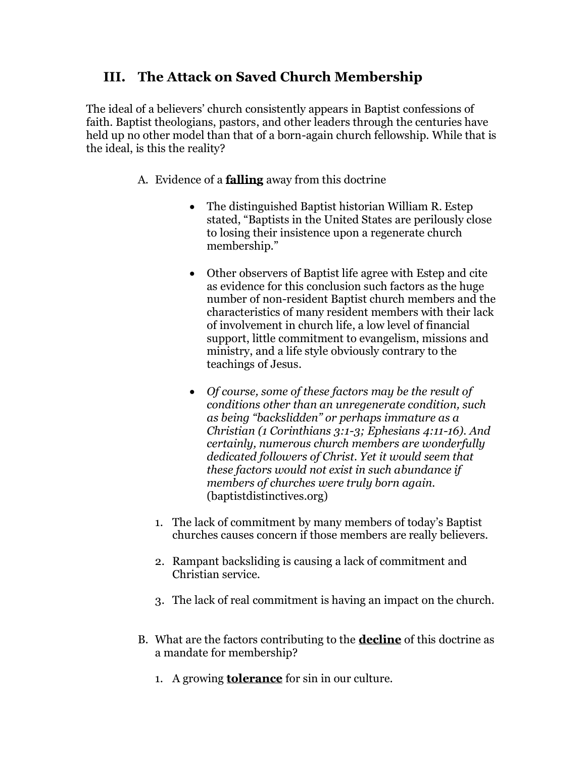## **III. The Attack on Saved Church Membership**

The ideal of a believers' church consistently appears in Baptist confessions of faith. Baptist theologians, pastors, and other leaders through the centuries have held up no other model than that of a born-again church fellowship. While that is the ideal, is this the reality?

- A. Evidence of a **falling** away from this doctrine
	- The distinguished Baptist historian William R. Estep stated, "Baptists in the United States are perilously close to losing their insistence upon a regenerate church membership."
	- Other observers of Baptist life agree with Estep and cite as evidence for this conclusion such factors as the huge number of non-resident Baptist church members and the characteristics of many resident members with their lack of involvement in church life, a low level of financial support, little commitment to evangelism, missions and ministry, and a life style obviously contrary to the teachings of Jesus.
	- *Of course, some of these factors may be the result of conditions other than an unregenerate condition, such as being "backslidden" or perhaps immature as a Christian (1 Corinthians 3:1-3; Ephesians 4:11-16). And certainly, numerous church members are wonderfully dedicated followers of Christ. Yet it would seem that these factors would not exist in such abundance if members of churches were truly born again.* (baptistdistinctives.org)
	- 1. The lack of commitment by many members of today's Baptist churches causes concern if those members are really believers.
	- 2. Rampant backsliding is causing a lack of commitment and Christian service.
	- 3. The lack of real commitment is having an impact on the church.
- B. What are the factors contributing to the **decline** of this doctrine as a mandate for membership?
	- 1. A growing **tolerance** for sin in our culture.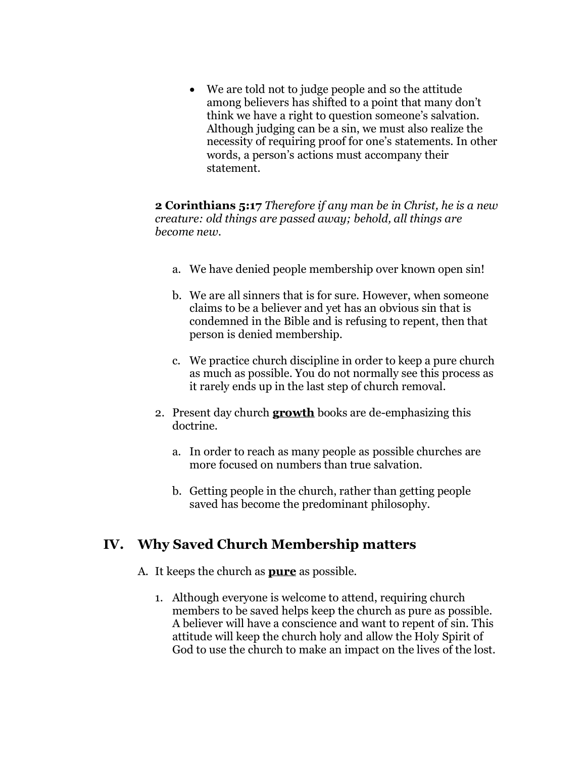• We are told not to judge people and so the attitude among believers has shifted to a point that many don't think we have a right to question someone's salvation. Although judging can be a sin, we must also realize the necessity of requiring proof for one's statements. In other words, a person's actions must accompany their statement.

**2 Corinthians 5:17** *Therefore if any man be in Christ, he is a new creature: old things are passed away; behold, all things are become new.*

- a. We have denied people membership over known open sin!
- b. We are all sinners that is for sure. However, when someone claims to be a believer and yet has an obvious sin that is condemned in the Bible and is refusing to repent, then that person is denied membership.
- c. We practice church discipline in order to keep a pure church as much as possible. You do not normally see this process as it rarely ends up in the last step of church removal.
- 2. Present day church **growth** books are de-emphasizing this doctrine.
	- a. In order to reach as many people as possible churches are more focused on numbers than true salvation.
	- b. Getting people in the church, rather than getting people saved has become the predominant philosophy.

### **IV. Why Saved Church Membership matters**

- A. It keeps the church as **pure** as possible.
	- 1. Although everyone is welcome to attend, requiring church members to be saved helps keep the church as pure as possible. A believer will have a conscience and want to repent of sin. This attitude will keep the church holy and allow the Holy Spirit of God to use the church to make an impact on the lives of the lost.